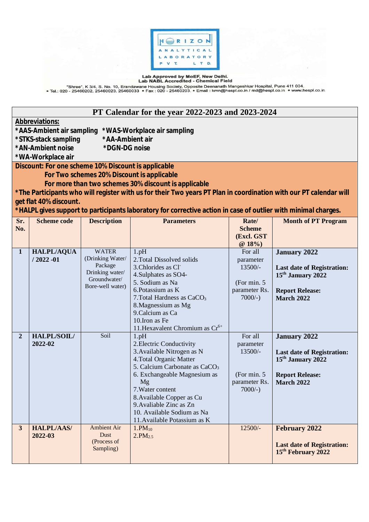

Lab Approved by MoEF, New Delhi.<br>— "Shree", K 3/4, S. No. 10, Erandawane Housing Society, Opposite Deenanath Mangeshkar Hospital, Pune 411 004.<br>• Tel.: 020 - 25460202, 25460023, 25460033 • Fax : 020 - 25460203. • Email : k

| PT Calendar for the year 2022-2023 and 2023-2024                                                                                                                                                                                                                                                                                                                                                                                                |                                   |                                                                                                    |                                                                                                                                                                                                                                                                                                                           |                                                                                |                                                                                                                                          |  |
|-------------------------------------------------------------------------------------------------------------------------------------------------------------------------------------------------------------------------------------------------------------------------------------------------------------------------------------------------------------------------------------------------------------------------------------------------|-----------------------------------|----------------------------------------------------------------------------------------------------|---------------------------------------------------------------------------------------------------------------------------------------------------------------------------------------------------------------------------------------------------------------------------------------------------------------------------|--------------------------------------------------------------------------------|------------------------------------------------------------------------------------------------------------------------------------------|--|
| <b>Abbreviations:</b><br>*AAS-Ambient air sampling<br>*WAS-Workplace air sampling<br>*AA-Ambient air<br>*STKS-stack sampling<br>*AN-Ambient noise<br>*DGN-DG noise                                                                                                                                                                                                                                                                              |                                   |                                                                                                    |                                                                                                                                                                                                                                                                                                                           |                                                                                |                                                                                                                                          |  |
| *WA-Workplace air<br>Discount: For one scheme 10% Discount is applicable<br>For Two schemes 20% Discount is applicable<br>For more than two schemes 30% discount is applicable<br>*The Participants who will register with us for their Two years PT Plan in coordination with our PT calendar will<br>get flat 40% discount.<br>*HALPL gives support to participants laboratory for corrective action in case of outlier with minimal charges. |                                   |                                                                                                    |                                                                                                                                                                                                                                                                                                                           |                                                                                |                                                                                                                                          |  |
| Sr.<br>No.                                                                                                                                                                                                                                                                                                                                                                                                                                      | <b>Scheme code</b>                | <b>Description</b>                                                                                 | <b>Parameters</b>                                                                                                                                                                                                                                                                                                         | Rate/<br><b>Scheme</b><br>(Excl. GST<br>@18%                                   | <b>Month of PT Program</b>                                                                                                               |  |
| $\mathbf{1}$                                                                                                                                                                                                                                                                                                                                                                                                                                    | <b>HALPL/AQUA</b><br>$/2022 - 01$ | <b>WATER</b><br>(Drinking Water/<br>Package<br>Drinking water/<br>Groundwater/<br>Bore-well water) | $1$ .pH<br>2. Total Dissolved solids<br>3. Chlorides as Cl<br>4. Sulphates as SO4-<br>5. Sodium as Na<br>6. Potassium as K<br>7. Total Hardness as $CaCO3$<br>8. Magnessium as Mg<br>9. Calcium as Ca<br>10.Iron as Fe<br>11. Hexavalent Chromium as Cr <sup>6+</sup>                                                     | For all<br>parameter<br>13500/-<br>(For min. 5)<br>parameter Rs.<br>$7000/-$ ) | <b>January 2022</b><br><b>Last date of Registration:</b><br>15 <sup>th</sup> January 2022<br><b>Report Release:</b><br><b>March 2022</b> |  |
| $\overline{2}$                                                                                                                                                                                                                                                                                                                                                                                                                                  | HALPL/SOIL/<br>2022-02            | Soil                                                                                               | $1$ .pH<br>2. Electric Conductivity<br>3. Available Nitrogen as N<br>4. Total Organic Matter<br>5. Calcium Carbonate as CaCO <sub>3</sub><br>6. Exchangeable Magnesium as<br>Mg<br>7. Water content<br>8. Available Copper as Cu<br>9. Avaliable Zinc as Zn<br>10. Available Sodium as Na<br>11. Available Potassium as K | For all<br>parameter<br>13500/-<br>(For min. 5<br>parameter Rs.<br>$7000/-$ )  | <b>January 2022</b><br><b>Last date of Registration:</b><br>15 <sup>th</sup> January 2022<br><b>Report Release:</b><br>March 2022        |  |
| 3 <sup>1</sup>                                                                                                                                                                                                                                                                                                                                                                                                                                  | <b>HALPL/AAS/</b><br>2022-03      | <b>Ambient Air</b><br>Dust<br>(Process of<br>Sampling)                                             | $1.PM_{10}$<br>2.PM <sub>2.5</sub>                                                                                                                                                                                                                                                                                        | $12500/-$                                                                      | <b>February 2022</b><br><b>Last date of Registration:</b><br>15 <sup>th</sup> February 2022                                              |  |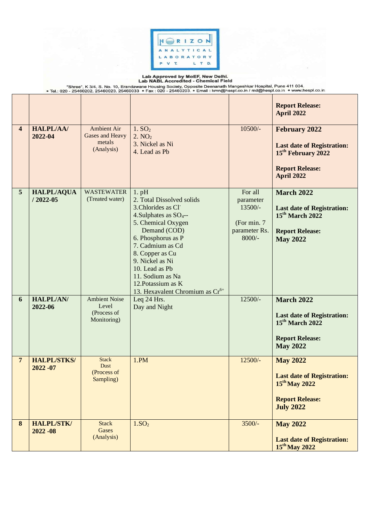

 $\sim$ 

Lab Approved by MoEF, New Delhi.<br>Lab NABL Accredited - Chemical Field<br>Fiel: 020 - 25460202, 25460023, 25460033 • Fax : 020 - 25460203. • Email : kmn@hespl.co.in / md@hespl.co.in • www.hespl.co.in • www.hespl.co.in • www.he

|                         |                                   |                                                               |                                                                                                                                                                                                                                                                                                                                                |                                                                              | <b>Report Release:</b><br><b>April 2022</b>                                                                                                |
|-------------------------|-----------------------------------|---------------------------------------------------------------|------------------------------------------------------------------------------------------------------------------------------------------------------------------------------------------------------------------------------------------------------------------------------------------------------------------------------------------------|------------------------------------------------------------------------------|--------------------------------------------------------------------------------------------------------------------------------------------|
| $\overline{\mathbf{4}}$ | <b>HALPL/AA/</b><br>2022-04       | <b>Ambient Air</b><br>Gases and Heavy<br>metals<br>(Analysis) | 1. SO <sub>2</sub><br>2. NO <sub>2</sub><br>3. Nickel as Ni<br>4. Lead as Pb                                                                                                                                                                                                                                                                   | $10500/-$                                                                    | <b>February 2022</b><br><b>Last date of Registration:</b><br>15 <sup>th</sup> February 2022<br><b>Report Release:</b><br><b>April 2022</b> |
| $5\overline{)}$         | <b>HALPL/AQUA</b><br>$/2022 - 05$ | <b>WASTEWATER</b><br>(Treated water)                          | $1.$ pH<br>2. Total Dissolved solids<br>3. Chlorides as Cl <sup>-</sup><br>4. Sulphates as SO <sub>4</sub> --<br>5. Chemical Oxygen<br>Demand (COD)<br>6. Phosphorus as P<br>7. Cadmium as Cd<br>8. Copper as Cu<br>9. Nickel as Ni<br>10. Lead as Pb<br>11. Sodium as Na<br>12. Potassium as K<br>13. Hexavalent Chromium as Cr <sup>6+</sup> | For all<br>parameter<br>13500/-<br>(For min. 7)<br>parameter Rs.<br>$8000/-$ | <b>March 2022</b><br><b>Last date of Registration:</b><br>$15th$ March 2022<br><b>Report Release:</b><br><b>May 2022</b>                   |
| 6                       | <b>HALPL/AN/</b><br>2022-06       | <b>Ambient Noise</b><br>Level<br>(Process of<br>Monitoring)   | Leq 24 Hrs.<br>Day and Night                                                                                                                                                                                                                                                                                                                   | $12500/-$                                                                    | <b>March 2022</b><br><b>Last date of Registration:</b><br>$15th$ March 2022<br><b>Report Release:</b><br><b>May 2022</b>                   |
| $\overline{7}$          | <b>HALPL/STKS/</b><br>$2022 - 07$ | <b>Stack</b><br>Dust<br>(Process of<br>Sampling)              | 1.PM                                                                                                                                                                                                                                                                                                                                           | $12500/-$                                                                    | <b>May 2022</b><br><b>Last date of Registration:</b><br>$15th$ May 2022<br><b>Report Release:</b><br><b>July 2022</b>                      |
| 8                       | <b>HALPL/STK/</b><br>$2022 - 08$  | <b>Stack</b><br>Gases<br>(Analysis)                           | 1.SO <sub>2</sub>                                                                                                                                                                                                                                                                                                                              | $3500/-$                                                                     | <b>May 2022</b><br><b>Last date of Registration:</b><br>15 <sup>th</sup> May 2022                                                          |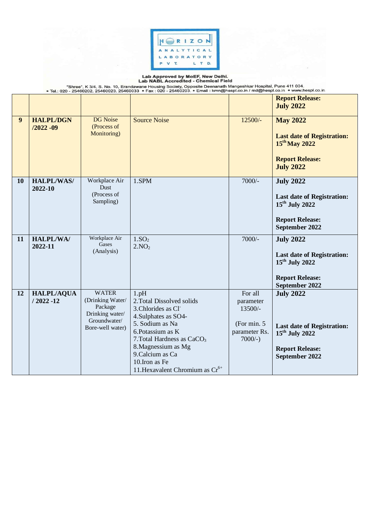

Lab Approved by MoEF, New Delhi.<br>"Shree", K 3/4, S. No. 10, Erandawane Housing Society, Opposite Deenanath Mangeshkar Hospital, Pune 411 004.<br>Tel.: 020 - 25460202, 25460023, 25460033 • Fax : 020 - 25460203. • Email : kmn@h

|                |                                   |                                                                                                    |                                                                                                                                                                                                                                                                           |                                                                                  | <b>Report Release:</b><br><b>July 2022</b>                                                                                      |
|----------------|-----------------------------------|----------------------------------------------------------------------------------------------------|---------------------------------------------------------------------------------------------------------------------------------------------------------------------------------------------------------------------------------------------------------------------------|----------------------------------------------------------------------------------|---------------------------------------------------------------------------------------------------------------------------------|
| 9 <sup>°</sup> | <b>HALPL/DGN</b><br>$/2022 - 09$  | <b>DG</b> Noise<br>(Process of<br>Monitoring)                                                      | <b>Source Noise</b>                                                                                                                                                                                                                                                       | $12500/-$                                                                        | <b>May 2022</b><br><b>Last date of Registration:</b><br>15 <sup>th</sup> May 2022<br><b>Report Release:</b><br><b>July 2022</b> |
| 10             | <b>HALPL/WAS/</b><br>2022-10      | Workplace Air<br>Dust<br>(Process of<br>Sampling)                                                  | 1.SPM                                                                                                                                                                                                                                                                     | $7000/-$                                                                         | <b>July 2022</b><br><b>Last date of Registration:</b><br>15 <sup>th</sup> July 2022<br><b>Report Release:</b><br>September 2022 |
| 11             | <b>HALPL/WA/</b><br>2022-11       | Workplace Air<br>Gases<br>(Analysis)                                                               | 1.SO <sub>2</sub><br>2.NO <sub>2</sub>                                                                                                                                                                                                                                    | $7000/-$                                                                         | <b>July 2022</b><br><b>Last date of Registration:</b><br>15 <sup>th</sup> July 2022<br><b>Report Release:</b><br>September 2022 |
| 12             | <b>HALPL/AQUA</b><br>$/2022 - 12$ | <b>WATER</b><br>(Drinking Water/<br>Package<br>Drinking water/<br>Groundwater/<br>Bore-well water) | $1$ .pH<br>2. Total Dissolved solids<br>3. Chlorides as Cl<br>4. Sulphates as SO4-<br>5. Sodium as Na<br>6. Potassium as K<br>7. Total Hardness as CaCO <sub>3</sub><br>8. Magnessium as Mg<br>9. Calcium as Ca<br>10. Iron as Fe<br>11. Hexavalent Chromium as $Cr^{6+}$ | For all<br>parameter<br>$13500/-$<br>(For min. 5)<br>parameter Rs.<br>$7000/-$ ) | <b>July 2022</b><br><b>Last date of Registration:</b><br>15 <sup>th</sup> July 2022<br><b>Report Release:</b><br>September 2022 |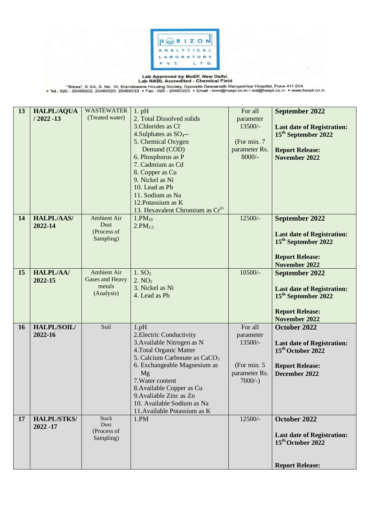

Lab Approved by MoEF, New Delhi.<br>— "Shree", K 3/4, S. No. 10, Erandawane Housing Society, Opposite Deenanath Mangeshkar Hospital, Pune 411 004.<br>• Tel.: 020 - 25460202, 25460023, 25460033 • Fax : 020 - 25460203. • Email : k

| 13 | <b>HALPL/AQUA</b>  | <b>WASTEWATER</b>  | $1.$ pH                                                              | For all       | September 2022                    |
|----|--------------------|--------------------|----------------------------------------------------------------------|---------------|-----------------------------------|
|    | $/2022 - 13$       | (Treated water)    | 2. Total Dissolved solids                                            | parameter     |                                   |
|    |                    |                    | 3. Chlorides as Cl                                                   | $13500/-$     | <b>Last date of Registration:</b> |
|    |                    |                    | 4. Sulphates as $SO_{4}$ --                                          |               | 15 <sup>th</sup> September 2022   |
|    |                    |                    | 5. Chemical Oxygen                                                   | (For min. 7)  |                                   |
|    |                    |                    | Demand (COD)                                                         | parameter Rs. | <b>Report Release:</b>            |
|    |                    |                    | 6. Phosphorus as P                                                   | $8000/-$      | <b>November 2022</b>              |
|    |                    |                    | 7. Cadmium as Cd                                                     |               |                                   |
|    |                    |                    | 8. Copper as Cu                                                      |               |                                   |
|    |                    |                    | 9. Nickel as Ni                                                      |               |                                   |
|    |                    |                    | 10. Lead as Pb                                                       |               |                                   |
|    |                    |                    | 11. Sodium as Na                                                     |               |                                   |
|    |                    |                    | 12. Potassium as K                                                   |               |                                   |
|    |                    |                    | 13. Hexavalent Chromium as Cr <sup>6+</sup>                          |               |                                   |
| 14 | <b>HALPL/AAS/</b>  | <b>Ambient Air</b> | $1.PM_{10}$                                                          | $12500/-$     | September 2022                    |
|    | 2022-14            | Dust               | 2.PM <sub>2.5</sub>                                                  |               |                                   |
|    |                    | (Process of        |                                                                      |               | <b>Last date of Registration:</b> |
|    |                    | Sampling)          |                                                                      |               | 15 <sup>th</sup> September 2022   |
|    |                    |                    |                                                                      |               |                                   |
|    |                    |                    |                                                                      |               | <b>Report Release:</b>            |
|    |                    |                    |                                                                      |               | November 2022                     |
| 15 | <b>HALPL/AA/</b>   | Ambient Air        | 1.5O <sub>2</sub>                                                    | 10500/-       | September 2022                    |
|    | 2022-15            | Gases and Heavy    | 2. NO <sub>2</sub>                                                   |               |                                   |
|    |                    | metals             | 3. Nickel as Ni                                                      |               | <b>Last date of Registration:</b> |
|    |                    | (Analysis)         | 4. Lead as Pb                                                        |               | 15 <sup>th</sup> September 2022   |
|    |                    |                    |                                                                      |               |                                   |
|    |                    |                    |                                                                      |               | <b>Report Release:</b>            |
|    |                    |                    |                                                                      |               | November 2022                     |
| 16 | HALPL/SOIL/        | Soil               | $1$ .p $H$                                                           | For all       | October 2022                      |
|    | 2022-16            |                    | 2. Electric Conductivity                                             | parameter     |                                   |
|    |                    |                    | 3. Available Nitrogen as N                                           | 13500/-       | <b>Last date of Registration:</b> |
|    |                    |                    | 4. Total Organic Matter<br>5. Calcium Carbonate as CaCO <sub>3</sub> |               | 15 <sup>th</sup> October 2022     |
|    |                    |                    | 6. Exchangeable Magnesium as                                         | (For min. 5   |                                   |
|    |                    |                    | Mg                                                                   | parameter Rs. | <b>Report Release:</b>            |
|    |                    |                    | 7. Water content                                                     | $7000/-$ )    | December 2022                     |
|    |                    |                    | 8. Available Copper as Cu                                            |               |                                   |
|    |                    |                    | 9. Avaliable Zinc as Zn                                              |               |                                   |
|    |                    |                    | 10. Available Sodium as Na                                           |               |                                   |
|    |                    |                    | 11. Available Potassium as K                                         |               |                                   |
| 17 | <b>HALPL/STKS/</b> | <b>Stack</b>       | 1.PM                                                                 | 12500/-       | October 2022                      |
|    | 2022 - 17          | Dust               |                                                                      |               |                                   |
|    |                    | (Process of        |                                                                      |               | <b>Last date of Registration:</b> |
|    |                    | Sampling)          |                                                                      |               | 15 <sup>th</sup> October 2022     |
|    |                    |                    |                                                                      |               |                                   |
|    |                    |                    |                                                                      |               |                                   |
|    |                    |                    |                                                                      |               | <b>Report Release:</b>            |